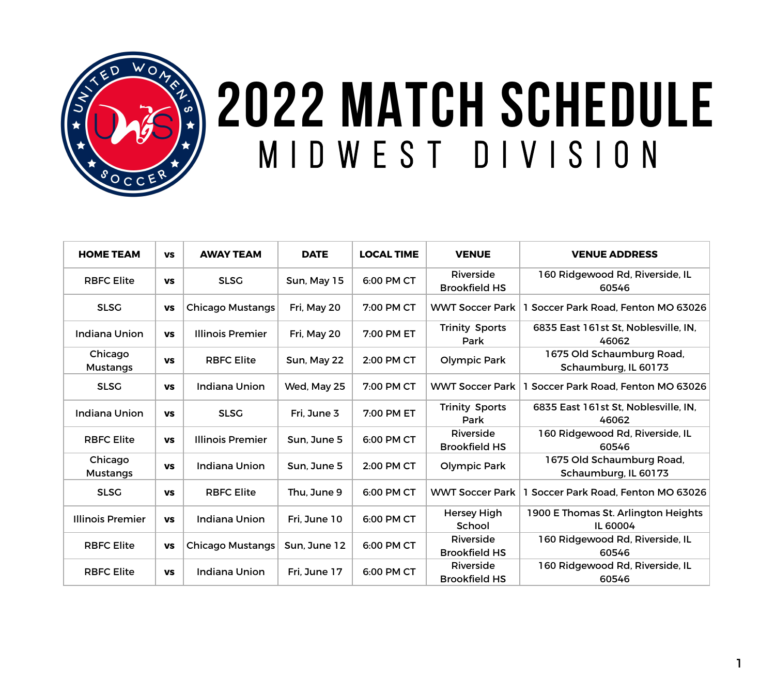

## **2022 MATCH SCHEDULE** MIDWEST DIVISION

| <b>HOME TEAM</b>           | <b>VS</b> | <b>AWAY TEAM</b>        | <b>DATE</b>  | <b>LOCAL TIME</b> | <b>VENUE</b>                      | <b>VENUE ADDRESS</b>                              |
|----------------------------|-----------|-------------------------|--------------|-------------------|-----------------------------------|---------------------------------------------------|
| <b>RBFC Elite</b>          | <b>VS</b> | <b>SLSG</b>             | Sun, May 15  | 6:00 PM CT        | Riverside<br><b>Brookfield HS</b> | 160 Ridgewood Rd, Riverside, IL<br>60546          |
| <b>SLSG</b>                | <b>VS</b> | <b>Chicago Mustangs</b> | Fri, May 20  | 7:00 PM CT        | <b>WWT Soccer Park</b>            | 1 Soccer Park Road, Fenton MO 63026               |
| <b>Indiana Union</b>       | <b>VS</b> | <b>Illinois Premier</b> | Fri, May 20  | 7:00 PM ET        | <b>Trinity Sports</b><br>Park     | 6835 East 161st St, Noblesville, IN,<br>46062     |
| Chicago<br><b>Mustangs</b> | <b>VS</b> | <b>RBFC Elite</b>       | Sun, May 22  | 2:00 PM CT        | <b>Olympic Park</b>               | 1675 Old Schaumburg Road,<br>Schaumburg, IL 60173 |
| <b>SLSG</b>                | <b>VS</b> | <b>Indiana Union</b>    | Wed, May 25  | 7:00 PM CT        | <b>WWT Soccer Park</b>            | Soccer Park Road, Fenton MO 63026                 |
| <b>Indiana Union</b>       | <b>VS</b> | <b>SLSG</b>             | Fri, June 3  | 7:00 PM ET        | <b>Trinity Sports</b><br>Park     | 6835 East 161st St, Noblesville, IN.<br>46062     |
| <b>RBFC Elite</b>          | <b>VS</b> | <b>Illinois Premier</b> | Sun, June 5  | 6:00 PM CT        | Riverside<br><b>Brookfield HS</b> | 160 Ridgewood Rd, Riverside, IL<br>60546          |
| Chicago<br><b>Mustangs</b> | <b>VS</b> | <b>Indiana Union</b>    | Sun, June 5  | 2:00 PM CT        | <b>Olympic Park</b>               | 1675 Old Schaumburg Road,<br>Schaumburg, IL 60173 |
| <b>SLSG</b>                | <b>VS</b> | <b>RBFC Elite</b>       | Thu, June 9  | 6:00 PM CT        | <b>WWT Soccer Park</b>            | Soccer Park Road, Fenton MO 63026                 |
| <b>Illinois Premier</b>    | <b>VS</b> | <b>Indiana Union</b>    | Fri, June 10 | 6:00 PM CT        | <b>Hersey High</b><br>School      | 1900 E Thomas St. Arlington Heights<br>IL 60004   |
| <b>RBFC Elite</b>          | <b>VS</b> | <b>Chicago Mustangs</b> | Sun, June 12 | 6:00 PM CT        | Riverside<br><b>Brookfield HS</b> | 160 Ridgewood Rd, Riverside, IL<br>60546          |
| <b>RBFC Elite</b>          | <b>VS</b> | <b>Indiana Union</b>    | Fri. June 17 | 6:00 PM CT        | Riverside<br><b>Brookfield HS</b> | 160 Ridgewood Rd, Riverside, IL<br>60546          |